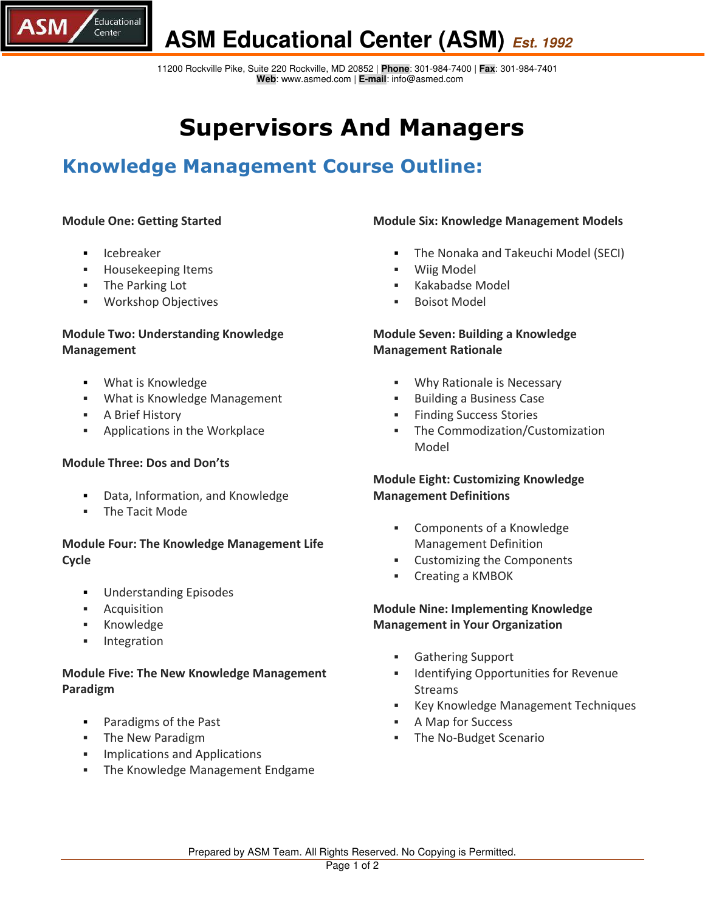

 11200 Rockville Pike, Suite 220 Rockville, MD 20852 | **Phone**: 301-984-7400 | **Fax**: 301-984-7401  **Web**: www.asmed.com | **E-mail**: info@asmed.com

## **Supervisors And Managers**

### **Knowledge Management Course Outline:**

#### **Module One: Getting Started**

Icebreaker

,<br>Educational

Center

**SM** 

- **Housekeeping Items**
- The Parking Lot
- Workshop Objectives

#### **Module Two: Understanding Knowledge Management**

- What is Knowledge
- What is Knowledge Management
- **A Brief History**
- **Applications in the Workplace**

#### **Module Three: Dos and Don'ts**

- Data, Information, and Knowledge
- The Tacit Mode

#### **Module Four: The Knowledge Management Life Cycle**

- **Understanding Episodes**
- Acquisition
- **Knowledge**
- **Integration**

#### **Module Five: The New Knowledge Management Paradigm**

- Paradigms of the Past
- **The New Paradigm**
- Implications and Applications
- **Fig. 3** The Knowledge Management Endgame

#### **Module Six: Knowledge Management Models**

- The Nonaka and Takeuchi Model (SECI)
- Wiig Model
- Kakabadse Model
- Boisot Model

#### **Module Seven: Building a Knowledge Management Rationale**

- Why Rationale is Necessary
- Building a Business Case
- **Finding Success Stories**
- The Commodization/Customization Model

#### **Module Eight: Customizing Knowledge Management Definitions**

- Components of a Knowledge Management Definition
- Customizing the Components
- Creating a KMBOK

#### **Module Nine: Implementing Knowledge Management in Your Organization**

- Gathering Support
- **IDENTIFY IDENTIFY IDENTIFY IDENTIFY IDENTIFY IDENTIFY IDENTIFY** Streams
- Key Knowledge Management Techniques
- A Map for Success
- **The No-Budget Scenario**